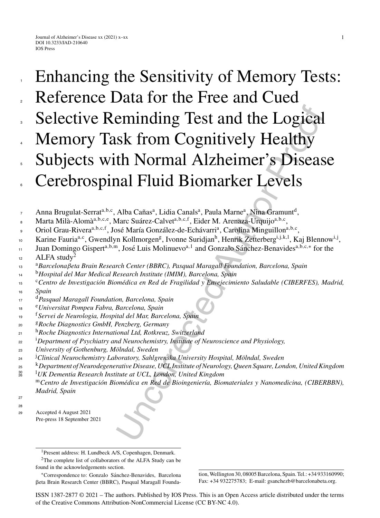# eminding Test and the Logical<br>sk from Cognitively Healthy<br>sk from Cognitively Healthy<br>th Normal Alzheimer's Diseas<br>and Fluid Biomarker Levels<br>and Fluid Biomarker Levels<br>sosé Maria Garáca-Calver<sup>a,b.or</sup>, Eider M. Aremaza-Ur Enhancing the Sensitivity of Memory Tests: Reference Data for the Free and Cued Selective Reminding Test and the Logical<br>Memory Task from Cognitively Healthy Subjects with Normal Alzheimer's Disease Cerebrospinal Fluid Biomarker Levels 1 2 3 4 5 6

Anna Brugulat-Serrat<sup>a,b,c</sup>, Alba Cañas<sup>a</sup>, Lidia Canals<sup>a</sup>, Paula Marne<sup>a</sup>, Nina Gramunt<sup>d</sup>, 7

Marta Milà-Alomà<sup>a,b,c,e</sup>, Marc Suárez-Calvet<sup>a,b,c,f</sup>, Eider M. Arenaza-Urquijo<sup>a,b,c</sup>, 8

- Oriol Grau-Rivera<sup>a,b,c,f</sup>, José María González-de-Echávarri<sup>a</sup>, Carolina Minguillon<sup>a,b,c</sup>, 9
- Karine Fauria<sup>a,c</sup>, Gwendlyn Kollmorgen<sup>g</sup>, Ivonne Suridjan<sup>h</sup>, Henrik Zetterberg<sup>i,j,k,l</sup>, Kaj Blennow<sup>i,j</sup>, 10
- Juan Domingo Gispert<sup>a,b,m</sup>, José Luis Molinuevo<sup>a, 1</sup> and Gonzalo Sánchez-Benavides<sup>a,b,c,∗</sup> for the 11
- ALFA study<sup>2</sup> 12
- <sup>a</sup> <sup>13</sup> *Barcelonaβeta Brain Research Center (BBRC), Pasqual Maragall Foundation, Barcelona, Spain*
- <sup>b</sup> <sup>14</sup> *Hospital del Mar Medical Research Institute (IMIM), Barcelona, Spain*
- <sup>c</sup>Centro de Investigación Biomédica en Red de Fragilidad y Envejecimiento Saludable (CIBERFES), Madrid, *Spain* 15 16
- <sup>d</sup> <sup>17</sup> *Pasqual Maragall Foundation, Barcelona, Spain*
- <sup>e</sup> <sup>18</sup> *Universitat Pompeu Fabra, Barcelona, Spain*
- <sup>f</sup> <sup>19</sup> *Servei de Neurologia, Hospital del Mar, Barcelona, Spain*
- <sup>g</sup> <sup>20</sup> *Roche Diagnostics GmbH, Penzberg, Germany*
- <sup>h</sup> <sup>21</sup> *Roche Diagnostics International Ltd, Rotkreuz, Switzerland*
- i *Department of Psychiatry and Neurochemistry, Institute of Neuroscience and Physiology,* 22
- *University of Gothenburg, M ¨olndal, Sweden* 23
- <sup>24</sup> <sup>*Clinical Neurochemistry Laboratory, Sahlgrenska University Hospital, Mölndal, Sweden*</sup>
- <sup>k</sup> <sup>25</sup> *Department of Neurodegenerative Disease, UCL Institute of Neurology, Queen Square, London, United Kingdom*
- <sup>l</sup> <sup>26</sup> *UK Dementia Research Institute at UCL, London, United Kingdom* 30

<sup>m</sup>Centro de Investigación Biomédica en Red de Bioingeniería, Biomateriales y Nanomedicina, (CIBERBBN), *Madrid, Spain*

27 28

<sup>29</sup> Accepted 4 August 2021 Pre-press 18 September 2021

∗Correspondence to: Gonzalo Sanchez-Benavides, Barcelona ´ -eta Brain Research Center (BBRC), Pasqual Maragall Foundation, Wellington 30, 08005 Barcelona, Spain. Tel.: +34 933160990; Fax: +34 932275783; E-mail: [gsanchezb@barcelonabeta.org.](mailto:gsanchezb@barcelonabeta.org)

1

ISSN 1387-2877 © 2021 – The authors. Published by IOS Press. This is an Open Access article distributed under the terms of the [Creative Commons Attribution-NonCommercial License \(CC BY-NC 4.0\).](https://creativecommons.org/licenses/by-nc/4.0/)

<sup>1</sup>Present address: H. Lundbeck A/S, Copenhagen, Denmark.

<sup>&</sup>lt;sup>2</sup>The complete list of collaborators of the ALFA Study can be found in the acknowledgements section.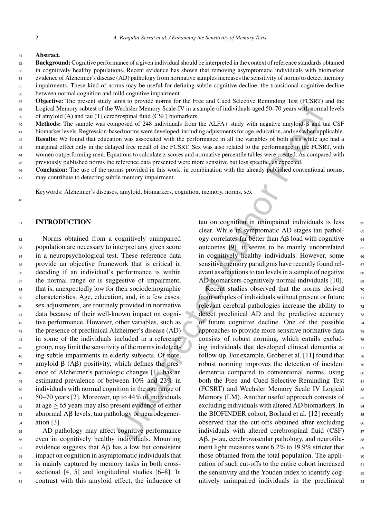### <sup>31</sup> **Abstract**.

- **Background:**Cognitive performance of a given individual should be interpreted in the context of reference standards obtained in cognitively healthy populations. Recent evidence has shown that removing asymptomatic individuals with biomarker evidence of Alzheimer's disease (AD) pathology from normative samples increases the sensitivity of norms to detect memory 32 33  $a<sub>A</sub>$
- impairments. These kind of norms may be useful for defining subtle cognitive decline, the transitional cognitive decline between normal cognition and mild cognitive impairment. 35 36
- **Objective:** The present study aims to provide norms for the Free and Cued Selective Reminding Test (FCSRT) and the Logical Memory subtest of the Wechsler Memory Scale-IV in a sample of individuals aged 50–70 years with normal levels of amyloid (A) and tau (T) cerebrospinal fluid (CSF) biomarkers. 37 38 39
- Methods: The sample was composed of 248 individuals from the ALFA+ study with negative amyloid- $\beta$  and tau CSF 40
- biomarker levels. Regression-based norms were developed, including adjustments for age, education, and sex when applicable. 41
- **Results:** We found that education was associated with the performance in all the variables of both tests while age had a marginal effect only in the delayed free recall of the FCSRT. Sex was also related to the performance in the FCSRT, with 42 43
- women outperforming men. Equations to calculate z-scores and normative percentile tables were created. As compared with 44
- previously published norms the reference data presented were more sensitive but less specific, as expected. 45
- **Conclusion:** The use of the norms provided in this work, in combination with the already published conventional norms, may contribute to detecting subtle memory impairment. 46 47

Keywords: Alzheimer's diseases, amyloid, biomarkers, cognition, memory, norms, sex

48

# <sup>31</sup> **INTRODUCTION**

 Norms obtained from a cognitively unimpaired population are necessary to interpret any given score in a neuropsychological test. These reference data provide an objective framework that is critical in deciding if an individual's performance is within the normal range or is suggestive of impairment, that is, unexpectedly low for their sociodemographic characteristics. Age, education, and, in a few cases, sex adjustments, are routinely provided in normative data because of their well-known impact on cogni- tive performance. However, other variables, such as the presence of preclinical Alzheimer's disease (AD) in some of the individuals included in a reference group, may limit the sensitivity of the norms in detect- ing subtle impairments in elderly subjects. Of note, amyloid- $\beta$  (A $\beta$ ) positivity, which defines the pres- ence of Alzheimer's pathologic changes [1], has an estimated prevalence of between 10% and 23% in individuals with normal cognition in the age range of 50–70 years [2]. Moreover, up to 44% of individuals  $\frac{1}{52}$  at age  $\geq$  65 years may also present evidence of either<br>s abnormal AB levels, tau pathology or neurodegenerss abnormal Aβ levels, tau pathology or neurodegener-ation [3].

 AD pathology may affect cognitive performance even in cognitively healthy individuals. Mounting evidence suggests that A $\beta$  has a low but consistent impact on cognition in asymptomatic individuals that is mainly captured by memory tasks in both cross- sectional [4, 5] and longitudinal studies [6–8]. In contrast with this amyloid effect, the influence of tau on cognition in unimpaired individuals is less  $62$ clear. While in symptomatic AD stages tau pathol- 63 ogy correlates far better than  $\mathsf{AB}\ \mathsf{load}\ \mathsf{with}\ \mathsf{cognitive}\$ outcomes [9], it seems to be mainly uncorrelated  $65$ in cognitively healthy individuals. However, some  $66$ sensitive memory paradigms have recently found relevant associations to tau levels in a sample of negative  $\frac{68}{68}$ AD biomarkers cognitively normal individuals  $[10]$ . 69

Wechelet Menony Scale-IV in a sample of individuals aged 50–70 years with norm<br>norspinal fluid (CSF) biomarkers.<br>Toroginal fluid (CSF) biomarkers, and the ALEA+ study with negative amyloid  $\beta$  and the<br>determons were deve Recent studies observed that the norms derived  $70$ from samples of individuals without present or future  $\frac{71}{21}$ relevant cerebral pathologies increase the ability to  $\frac{72}{2}$ detect preclinical AD and the predictive accuracy  $\frac{73}{2}$ of future cognitive decline. One of the possible  $\frac{74}{6}$ approaches to provide more sensitive normative data <sup>75</sup> consists of robust norming, which entails exclud- $\frac{76}{6}$ ing individuals that developed clinical dementia at  $\frac{77}{2}$ follow-up. For example, Grober et al. [11] found that  $\frac{78}{8}$ robust norming improves the detection of incident  $\frac{79}{20}$ dementia compared to conventional norms, using  $\frac{80}{100}$ both the Free and Cued Selective Reminding Test 81 (FCSRT) and Wechsler Memory Scale IV Logical 82 Memory (LM). Another useful approach consists of  $\qquad$  83 excluding individuals with altered AD biomarkers. In 84 the BIOFINDER cohort, Borland et al.  $[12]$  recently  $\begin{array}{c} \text{ss} \end{array}$ observed that the cut-offs obtained after excluding set individuals with altered cerebrospinal fluid  $(CSF)$  87  $A\beta$ , p-tau, cerebrovascular pathology, and neurofila-  $88$ ment light measures were  $6.2\%$  to 19.9% stricter that  $89$ those obtained from the total population. The application of such cut-offs to the entire cohort increased 91 the sensitivity and the Youden index to identify cog- 92 nitively unimpaired individuals in the preclinical 93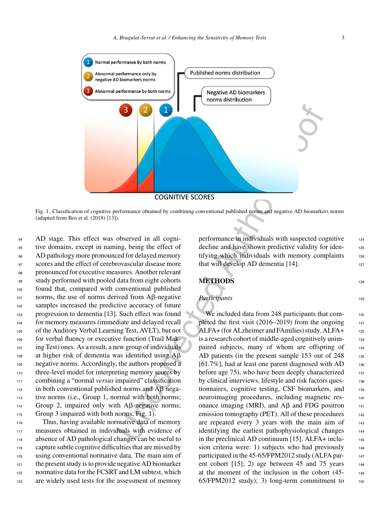

Fig. 1. Classification of cognitive performance obtained by combining conventional published norms and negative AD biomarkers norms (adapted from Bos et al. (2018) [13]).

94 AD stage. This effect was observed in all cogni- tive domains, except in naming, being the effect of AD pathology more pronounced for delayed memory scores and the effect of cerebrovascular disease more pronounced for executive measures. Another relevant 99 study performed with pooled data from eight cohorts found that, compared with conventional published norms, the use of norms derived from A $\beta$ -negative samples increased the predictive accuracy of future progression to dementia [13]. Such effect was found for memory measures (immediate and delayed recall of the Auditory Verbal Learning Test, AVLT), but not for verbal fluency or executive function (Trail Mak- ing Test) ones. As a result, a new group of individuals 108 at higher risk of dementia was identified using  $A\beta$  negative norms. Accordingly, the authors proposed a 110 three-level model for interpreting memory scores by combining a "normal *versus* impaired" classification in both conventional published norms and A $\beta$  nega- tive norms (i.e., Group 1, normal with both norms; Group 2, impaired only with A $\beta$ -negative norms; Group 3 impaired with both norms, Fig. 1).

 Thus, having available normative data of memory measures obtained in individuals with evidence of absence of AD pathological changes can be useful to capture subtle cognitive difficulties that are missed by using conventional normative data. The main aim of the present study is to provide negative AD biomarker 122 normative data for the FCSRT and LM subtest, which are widely used tests for the assessment of memory

performance in individuals with suspected cognitive 124 decline and have shown predictive validity for identifying which individuals with memory complaints  $126$ that will develop AD dementia  $[14]$ .

# **METHODS** <sup>128</sup>

# *Participants* 129

We included data from 248 participants that com-<br>130 pleted the first visit  $(2016-2019)$  from the ongoing 131 ALFA+ (for ALzheimer and FAmilies) study. ALFA+ <sup>132</sup> is a research cohort of middle-aged cognitively unimpaired subjects, many of whom are offspring of 134 AD patients (in the present sample 153 out of 248 135 [61.7%], had at least one parent diagnosed with  $AD$  136 before age  $75$ ), who have been deeply characterized  $_{137}$ by clinical interviews, lifestyle and risk factors ques-<br>138 tionnaires, cognitive testing, CSF biomarkers, and 139 neuroimaging procedures, including magnetic resonance imaging (MRI), and  $\overrightarrow{AB}$  and FDG positron 141 emission tomography (PET). All of these procedures  $142$ are repeated every 3 years with the main aim of 143 identifying the earliest pathophysiological changes 144 in the preclinical AD continuum [15]. ALFA+ inclu- $_{145}$ sion criteria were: 1) subjects who had previously  $146$ participated in the 45-65/FPM2012 study (ALFA parent cohort  $[15]$ ; 2) age between 45 and 75 years 148 at the moment of the inclusion in the cohort (45- <sup>149</sup>  $65/FPM2012$  study); 3) long-term commitment to  $150$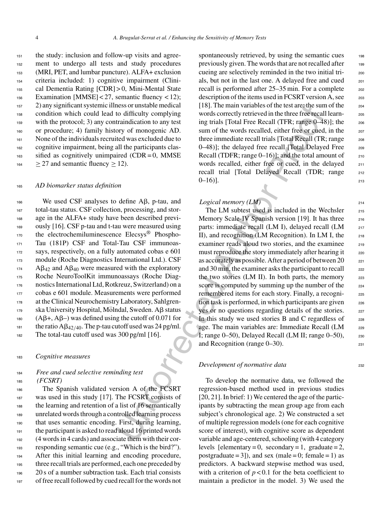the study: inclusion and follow-up visits and agree- ment to undergo all tests and study procedures (MRI, PET, and lumbar puncture). ALFA+ exclusion criteria included: 1) cognitive impairment (Clini- cal Dementia Rating [CDR] > 0, Mini-Mental State Examination [MMSE] < 27, semantic fluency < 12); 2) any significant systemic illness or unstable medical condition which could lead to difficulty complying with the protocol; 3) any contraindication to any test or procedure; 4) family history of monogenic AD. None of the individuals recruited was excluded due to cognitive impairment, being all the participants clas- sified as cognitively unimpaired (CDR = 0, MMSE)  $164 \geq 27$  and semantic fluency  $\geq 12$ ).

# <sup>165</sup> *AD biomarker status definition*

 We used CSF analyses to define A $\beta$ , p-tau, and total-tau status. CSF collection, processing, and stor- age in the ALFA+ study have been described previ- ously [16]. CSF p-tau and t-tau were measured using the electrochemiluminescence Elecsys<sup>®</sup> Phospho-171 Tau (181P) CSF and Total-Tau CSF immunoas- says, respectively, on a fully automated cobas e 601 module (Roche Diagnostics International Ltd.). CSF A $\beta_{42}$  and A $\beta_{40}$  were measured with the exploratory Roche NeuroToolKit immunoassays (Roche Diag- nostics International Ltd, Rotkreuz, Switzerland) on a cobas e 601 module. Measurements were performed at the Clinical Neurochemistry Laboratory, Sahlgren-179 ska University Hospital, Mölndal, Sweden. A $\beta$  status 180 ( $\mathbf{A}\mathbf{\beta} + \mathbf{A}\mathbf{\beta} - \mathbf{A}\mathbf{B}$ ) was defined using the cutoff of 0.071 for 181 the ratio  $A\beta_{42/40}$ . The p-tau cutoff used was 24 pg/ml. The total-tau cutoff used was 300 pg/ml [16].

### <sup>183</sup> *Cognitive measures*

# <sup>184</sup> *Free and cued selective reminding test* <sup>185</sup> *(FCSRT)*

 The Spanish validated version A of the FCSRT was used in this study [17]. The FCSRT consists of the learning and retention of a list of 16 semantically unrelated words through a controlled learning process that uses semantic encoding. First, during learning, the participant is asked to read aloud 16 printed words (4 words in 4 cards) and associate them with their cor- responding semantic cue (e.g., "Which is the bird?"). After this initial learning and encoding procedure, three recall trials are performed, each one preceded by 20 s of a number subtraction task. Each trial consists of free recall followed by cued recall for the words not

spontaneously retrieved, by using the semantic cues 198 previously given. The words that are not recalled after 199 cueing are selectively reminded in the two initial tri- <sup>200</sup> als, but not in the last one. A delayed free and cued 201 recall is performed after  $25-35$  min. For a complete  $202$ description of the items used in FCSRT version A, see  $203$ [18]. The main variables of the test are: the sum of the 204 words correctly retrieved in the three free recall learning trials [Total Free Recall (TFR; range 0–48)]; the 206 sum of the words recalled, either free or cued, in the 207 three immediate recall trials [Total Recall (TR; range 208 0–48)]; the delayed free recall [Total Delayed Free 209 Recall (TDFR; range  $0-16$ )]; and the total amount of  $210$ words recalled, either free or cued, in the delayed 211 recall trial [Total Delayed Recall (TDR; range 212  $0-16$ ].

# *Logical memory (LM)* 214

mes or unstable medical (18). The main variables of the test are the sum of the state and the three Reception of the main variables and the metriculation to any test inger that incomposite of the system and the proof of m The LM subtest used is included in the Wechsler 215 Memory Scale-IV Spanish version [19]. It has three 216 parts: immediate recall  $(LM I)$ , delayed recall  $(LM 217)$ II), and recognition (LM Recognition). In LM I, the  $_{218}$ examiner reads aloud two stories, and the examinee 219 must reproduce the story immediately after hearing it 220 as accurately as possible. After a period of between 20  $221$ and 30 min, the examiner asks the participant to recall  $_{222}$ the two stories (LM II). In both parts, the memory  $223$ score is computed by summing up the number of the 224 remembered items for each story. Finally, a recognition task is performed, in which participants are given  $_{226}$ yes or no questions regarding details of the stories. 227 In this study we used stories B and C regardless of  $228$ age. The main variables are: Immediate Recall (LM 229 I; range  $0-50$ ), Delayed Recall (LM II; range  $0-50$ ), 230 and Recognition (range 0–30). 231

### *Development of normative data* 232

To develop the normative data, we followed the regression-based method used in previous studies [20, 21]. In brief: 1) We centered the age of the participants by subtracting the mean group age from each subject's chronological age. 2) We constructed a set of multiple regression models (one for each cognitive score of interest), with cognitive score as dependent variable and age-centered, schooling (with 4 category levels [elementary = 0, secondary = 1, graduate = 2, postgraduate = 3]), and sex (male = 0; female = 1) as predictors. A backward stepwise method was used, with a criterion of  $p < 0.1$  for the beta coefficient to maintain a predictor in the model. 3) We used the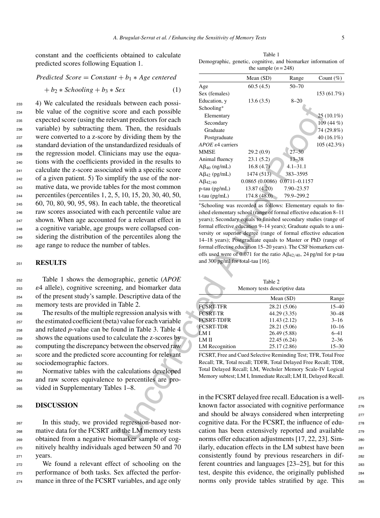constant and the coefficients obtained to calculate predicted scores following Equation 1.

# *Predicted Score* = *Constant* + *b*<sup>1</sup> ∗ *Age centered*

 $+ b_2 * Schooling + b_3 * Sex$  (1)

 4) We calculated the residuals between each possi- ble value of the cognitive score and each possible expected score (using the relevant predictors for each variable) by subtracting them. Then, the residuals were converted to a z-score by dividing them by the standard deviation of the unstandardized residuals of the regression model. Clinicians may use the equa- tions with the coefficients provided in the results to calculate the z-score associated with a specific score of a given patient. 5) To simplify the use of the nor- mative data, we provide tables for the most common percentiles (percentiles 1, 2, 5, 10, 15, 20, 30, 40, 50, 60, 70, 80, 90, 95, 98). In each table, the theoretical raw scores associated with each percentile value are shown. When age accounted for a relevant effect in a cognitive variable, age groups were collapsed con- sidering the distribution of the percentiles along the age range to reduce the number of tables.

### <sup>251</sup> **RESULTS**

 Table 1 shows the demographic, genetic (*APOE* 4 allele), cognitive screening, and biomarker data of the present study's sample. Descriptive data of the memory tests are provided in Table 2.

 The results of the multiple regression analysis with the estimated coefficient (beta) value for each variable and related *p*-value can be found in Table 3. Table 4 shows the equations used to calculate the z-scores by computing the discrepancy between the observed raw score and the predicted score accounting for relevant sociodemographic factors.

<sup>263</sup> Normative tables with the calculations developed <sup>264</sup> and raw scores equivalence to percentiles are pro-<sup>265</sup> vided in Supplementary Tables 1–8.

### <sup>266</sup> **DISCUSSION**

 In this study, we provided regression-based nor- mative data for the FCSRT and the LM memory tests obtained from a negative biomarker sample of cog- nitively healthy individuals aged between 50 and 70 <sup>271</sup> years.

<sup>272</sup> We found a relevant effect of schooling on the <sup>273</sup> performance of both tasks. Sex affected the perfor-274 mance in three of the FCSRT variables, and age only

Table 1 Demographic, genetic, cognitive, and biomarker information of the sample  $(n = 248)$ 

| $t + b_1 * Age$ centered                              |                                                                                                                                    | Mean (SD)                                                    | Range                        | Count $(\%)$         |
|-------------------------------------------------------|------------------------------------------------------------------------------------------------------------------------------------|--------------------------------------------------------------|------------------------------|----------------------|
| (1)<br>Sex                                            | Age                                                                                                                                | 60.5(4.5)                                                    | $50 - 70$                    |                      |
|                                                       | Sex (females)                                                                                                                      |                                                              |                              | 153 (61.7%)          |
| lls between each possi-                               | Education, y                                                                                                                       | 13.6(3.5)                                                    | $8 - 20$                     |                      |
| core and each possible                                | Schooling*                                                                                                                         |                                                              |                              |                      |
| vant predictors for each                              | Elementary                                                                                                                         |                                                              |                              | $25(10.1\%)$         |
|                                                       | Secondary                                                                                                                          |                                                              |                              | 109 (44 %)           |
| m. Then, the residuals                                | Graduate                                                                                                                           |                                                              |                              | 74 (29.8%)           |
| by dividing them by the                               | Postgraduate                                                                                                                       |                                                              |                              | $40(16.1\%)$         |
| tandardized residuals of                              | APOE $\varepsilon$ 4 carriers                                                                                                      |                                                              |                              | 105 (42.3%)          |
| ians may use the equa-                                | MMSE                                                                                                                               | 29.2(0.9)                                                    | $27 - 30$                    |                      |
| ovided in the results to                              | Animal fluency                                                                                                                     | 23.1(5.2)                                                    | $13 - 38$                    |                      |
| ed with a specific score                              | $A\beta_{40}$ (ng/mL)                                                                                                              | 16.8(4.7)                                                    | $4.1 - 31.1$                 |                      |
| plify the use of the nor-                             | $A\beta_{42}$ (pg/mL)                                                                                                              | 1474(513)                                                    | 383-3595                     |                      |
| es for the most common                                | $A\beta_{42/40}$                                                                                                                   | $0.0865(0.0086)$ $0.0711 - 0.1157$                           |                              |                      |
|                                                       | $p$ -tau ( $pg/mL$ )                                                                                                               | 13.87 (4.20)                                                 | 7.90-23.57                   |                      |
| 5, 10, 15, 20, 30, 40, 50,                            | $t$ -tau (pg/mL)                                                                                                                   | 174.8(48.0)                                                  | 79.9-299.2                   |                      |
| ch table, the theoretical<br>ach percentile value are | *Schooling was recorded as follows: Elementary equals to fin-<br>ished elementary school (range of formal effective education 8–11 |                                                              |                              |                      |
|                                                       | years); Secondary equals to finished secondary studies (range of                                                                   |                                                              |                              |                      |
| for a relevant effect in                              | formal effective education 9-14 years); Graduate equals to a uni-                                                                  |                                                              |                              |                      |
| ups were collapsed con-                               | versity or superior degree (range of formal effective education                                                                    |                                                              |                              |                      |
| ne percentiles along the                              |                                                                                                                                    | 14–18 years); Postgraduate equals to Master or PhD (range of |                              |                      |
| ber of tables.                                        | formal effective education 15-20 years). The CSF biomarkers cut-                                                                   |                                                              |                              |                      |
|                                                       | offs used were of 0.071 for the ratio $A\beta_{42/40}$ , 24 pg/ml for p-tau                                                        |                                                              |                              |                      |
|                                                       | and 300 pg/ml for total-tau [16].                                                                                                  |                                                              |                              |                      |
|                                                       |                                                                                                                                    |                                                              |                              |                      |
| raphic, genetic (APOE                                 |                                                                                                                                    |                                                              |                              |                      |
| ng, and biomarker data                                |                                                                                                                                    | Table 2                                                      |                              |                      |
|                                                       |                                                                                                                                    | Memory tests descriptive data                                |                              |                      |
| . Descriptive data of the                             |                                                                                                                                    |                                                              | Mean $(SD)$                  | Range                |
| Table 2.                                              | <b>FCSRT-TFR</b>                                                                                                                   |                                                              | 28.21 (5.06)                 | $15 - 40$            |
| regression analysis with                              | FCSRT-TR                                                                                                                           |                                                              | 44.29 (3.35)                 | $30 - 48$            |
| () value for each variable                            | FCSRT-TDFR                                                                                                                         |                                                              | 11.43 (2.12)                 | $3 - 16$             |
| und in Table 3. Table 4                               | <b>FCSRT-TDR</b>                                                                                                                   |                                                              | 28.21 (5.06)                 | $10 - 16$            |
| alculate the z-scores by                              | LM I<br>LM II                                                                                                                      |                                                              | 26.49 (5.88)<br>22.45 (6.24) | $6 - 41$<br>$2 - 36$ |
| tween the observed raw                                | <b>LM</b> Recognition                                                                                                              |                                                              | 25.17 (2.86)                 | $15 - 30$            |
| accounting for relevant                               |                                                                                                                                    |                                                              |                              |                      |
|                                                       | FCSRT, Free and Cued Selective Reminding Test; TFR, Total Free<br>Recall; TR, Total recall; TDFR, Total Delayed Free Recall; TDR,  |                                                              |                              |                      |
|                                                       | Total Delayed Recall; LM, Wechsler Memory Scale-IV Logical                                                                         |                                                              |                              |                      |
| calculations developed                                | Memory subtest; LM I, Immediate Recall; LM II, Delayed Recall.                                                                     |                                                              |                              |                      |
| to percentiles are pro-                               |                                                                                                                                    |                                                              |                              |                      |
| es 1–8.                                               |                                                                                                                                    |                                                              |                              |                      |
|                                                       | in the FCSRT delayed free recall. Education is a well-                                                                             |                                                              |                              |                      |
|                                                       | known factor associated with cognitive performance                                                                                 |                                                              |                              |                      |
|                                                       | and should be always considered when interpreting                                                                                  |                                                              |                              |                      |
| d regression-based nor-                               | cognitive data. For the FCSRT, the influence of edu-                                                                               |                                                              |                              |                      |
| d the LM memory tests                                 | cation has been extensively reported and available                                                                                 |                                                              |                              |                      |
|                                                       |                                                                                                                                    |                                                              |                              |                      |
| omarker sample of cog-                                | norms offer education adjustments [17, 22, 23]. Sim-                                                                               |                                                              |                              |                      |

| Table 2                       |
|-------------------------------|
| Memory tests descriptive data |

|                   | Mean $(SD)$  | Range     |
|-------------------|--------------|-----------|
| <b>FCSRT-TFR</b>  | 28.21 (5.06) | $15 - 40$ |
| <b>FCSRT-TR</b>   | 44.29 (3.35) | $30 - 48$ |
| <b>FCSRT-TDFR</b> | 11.43(2.12)  | $3 - 16$  |
| <b>FCSRT-TDR</b>  | 28.21 (5.06) | $10 - 16$ |
| LM I              | 26.49 (5.88) | $6 - 41$  |
| LM II             | 22.45 (6.24) | $2 - 36$  |
| LM Recognition    | 25.17 (2.86) | $15 - 30$ |

in the FCSRT delayed free recall. Education is a well- <sup>275</sup> known factor associated with cognitive performance 276 and should be always considered when interpreting <sub>277</sub> cognitive data. For the FCSRT, the influence of edu-<br><sub>278</sub> cation has been extensively reported and available 279 norms offer education adjustments [17, 22, 23]. Similarly, education effects in the LM subtest have been 281 consistently found by previous researchers in dif- <sup>282</sup> ferent countries and languages [23–25], but for this <sup>283</sup> test, despite this evidence, the originally published <sup>284</sup> norms only provide tables stratified by age. This 285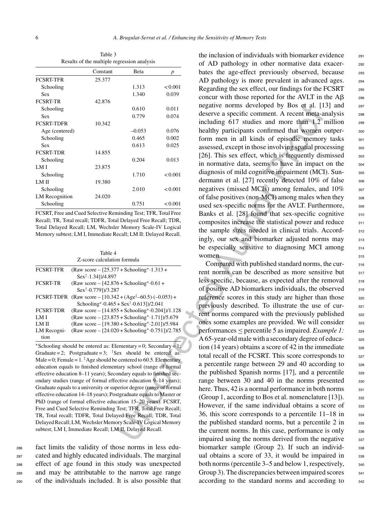|                   | Constant | <b>B</b> eta | $\boldsymbol{p}$ |
|-------------------|----------|--------------|------------------|
| <b>FCSRT-TFR</b>  | 25.377   |              |                  |
| Schooling         |          | 1.313        | < 0.001          |
| Sex               |          | 1.340        | 0.039            |
| <b>FCSRT-TR</b>   | 42.876   |              |                  |
| Schooling         |          | 0.610        | 0.011            |
| <b>Sex</b>        |          | 0.779        | 0.074            |
| <b>FCSRT-TDFR</b> | 10.342   |              |                  |
| Age (centered)    |          | $-0.053$     | 0.076            |
| Schooling         |          | 0.465        | 0.002            |
| Sex               |          | 0.613        | 0.025            |
| <b>FCSRT-TDR</b>  | 14.855   |              |                  |
| Schooling         |          | 0.204        | 0.013            |
| LM I              | 23.875   |              |                  |
| Schooling         |          | 1.710        | < 0.001          |
| LM II             | 19.380   |              |                  |
| Schooling         |          | 2.010        | < 0.001          |
| LM Recognition    | 24.020   |              |                  |
| Schooling         |          | 0.751        | < 0.001          |

Table 3 Results of the multiple regression analysis

FCSRT, Free and Cued Selective Reminding Test; TFR, Total Free Recall; TR, Total recall; TDFR, Total Delayed Free Recall; TDR, Total Delayed Recall; LM, Wechsler Memory Scale-IV Logical Memory subtest; LM I, Immediate Recall; LM II: Delayed Recall.

| Table 4                     |
|-----------------------------|
| Z-score calculation formula |

| <b>FCSRT-TFR</b> | (Raw score – $[25.377 +$ Schooling* $\cdot 1.313 +$                  |
|------------------|----------------------------------------------------------------------|
|                  | $Sex^{\dagger} \cdot 1.341$ )/4.897                                  |
| <b>FCSRT-TR</b>  | (Raw score $-$ [42.876 + Schooling* $\cdot$ 0.61 +                   |
|                  | $Sex^{\dagger} \cdot 0.7791$ )/3.287                                 |
| FCSRT-TDFR       | (Raw score – $[10.342 + (Age^{\frac{1}{2}} - 60.5) \cdot (-0.053) +$ |
|                  | Schooling* $0.465 + \text{Sex}^{\dagger} \cdot 0.613$ ])/2.041       |
| <b>FCSRT-TDR</b> | (Raw score $- [14.855 + Schooling* \cdot 0.204]$ )/1.128             |
| LM I             | (Raw score $-$ [23.875 + Schooling* $-1.71$ ])/5.679                 |
| LM II            | (Raw score $-$ [19.380 + Schooling* $\cdot$ 2.01])/5.984             |
| LM Recogni-      | (Raw score $-[24.020 + Schooling* \cdot 0.751]/2.785$                |
| tion             |                                                                      |
|                  |                                                                      |

∗Schooling should be entered as: Elementary = 0; Secondary = 1; Graduate = 2; Postgraduate = 3; <sup>†</sup>Sex should be entered as: Male = 0; Female =  $1.$ <sup>#</sup> Age should be centered to 60.5. Elementary education equals to finished elementary school (range of formal effective education 8–11 years); Secondary equals to finished secondary studies (range of formal effective education 9–14 years); Graduate equals to a university or superior degree (range of formal effective education 14–18 years); Postgraduate equals to Master or PhD (range of formal effective education 15–20 years). FCSRT, Free and Cued Selective Reminding Test; TFR, Total Free Recall; TR, Total recall; TDFR, Total Delayed Free Recall; TDR, Total Delayed Recall; LM, Wechsler Memory Scale-IV Logical Memory subtest; LM I, Immediate Recall; LM II, Delayed Recall.

 fact limits the validity of those norms in less edu- cated and highly educated individuals. The marginal effect of age found in this study was unexpected and may be attributable to the narrow age range of the individuals included. It is also possible that

the inclusion of individuals with biomarker evidence  $_{291}$ of AD pathology in other normative data exacer- <sup>292</sup> bates the age-effect previously observed, because 293 AD pathology is more prevalent in advanced ages. 294 Regarding the sex effect, our findings for the FCSRT  $_{295}$ concur with those reported for the AVLT in the  $\mathbf{A}\beta$  296 negative norms developed by Bos et al. [13] and 297 deserve a specific comment. A recent meta-analysis 298 including  $617$  studies and more than 1.2 million  $299$ healthy participants confirmed that women outper-<br>soc form men in all kinds of episodic memory tasks 301 assessed, except in those involving spatial processing 302 [26]. This sex effect, which is frequently dismissed  $303$ in normative data, seems to have an impact on the 304 diagnosis of mild cognitive impairment (MCI). Sun-<br><sub>305</sub> dermann et al. [27] recently detected  $10\%$  of false  $306$ negatives (missed MCIs) among females, and 10% 307 of false positives (non-MCI) among males when they  $\qquad$  308 used sex-specific norms for the AVLT. Furthermore,  $309$ Banks et al. [28] found that sex-specific cognitive 310 composites increase the statistical power and reduce  $311$ the sample sizes needed in clinical trials. Accordingly, our sex and biomarker adjusted norms may 313 be especially sensitive to diagnosing MCI among 314 women. 315

0.610  $0.11$  negative norms developed by Bos et al. (1)<br>  $0.79$   $0.923$  deserve a specific comment. A recent meta-<br>  $0.923$  including 617 studies and nore than 1,2<br>  $0.923$  assessed, except in those involving spaid provid Compared with published standard norms, the cur-<br>316 rent norms can be described as more sensitive but 317 less specific, because, as expected after the removal 318 of positive AD biomarkers individuals, the observed  $\frac{318}{318}$ reference scores in this study are higher than those  $320$ previously described. To illustrate the use of cur-<br>321 rent norms compared with the previously published  $322$ ones some examples are provided. We will consider 323 performances < percentile 5 as impaired. *Example 1:* 324 A 65-year-old male with a secondary degree of educa- 325 tion (14 years) obtains a score of 42 in the immediate  $326$ total recall of the FCSRT. This score corresponds to 327 a percentile range between 29 and 40 according to  $328$ the published Spanish norms  $[17]$ , and a percentile  $\frac{329}{2}$ range between 30 and 40 in the norms presented 330 here. Thus,  $42$  is a normal performance in both norms  $331$ (Group 1, according to Bos et al. nomenclature [13]). 332 However, if the same individual obtains a score of 333 36, this score corresponds to a percentile  $11-18$  in  $334$ the published standard norms, but a percentile  $2 \text{ in}$  335 the current norms. In this case, performance is only  $336$ impaired using the norms derived from the negative 337 biomarker sample (Group 2). If such an individ-<br>338 ual obtains a score of  $33$ , it would be impaired in  $335$ both norms (percentile  $3-5$  and below 1, respectively,  $340$ Group 3). The discrepancies between impaired scores 341 according to the standard norms and according to 342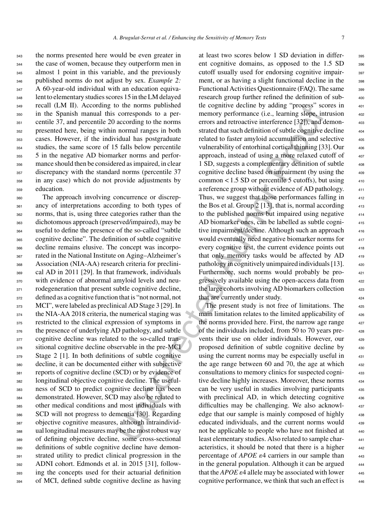the norms presented here would be even greater in the case of women, because they outperform men in 345 almost 1 point in this variable, and the previously published norms do not adjust by sex. *Example 2:* 347 A 60-year-old individual with an education equiva- lent to elementary studies scores 15 in the LM delayed recall (LM II). According to the norms published in the Spanish manual this corresponds to a per- centile 37, and percentile 20 according to the norms presented here, being within normal ranges in both cases. However, if the individual has postgraduate studies, the same score of 15 falls below percentile 5 in the negative AD biomarker norms and perfor- mance should then be considered as impaired, in clear discrepancy with the standard norms (percentile 37 in any case) which do not provide adjustments by education.

 The approach involving concurrence or discrep- ancy of interpretations according to both types of norms, that is, using three categories rather than the dichotomous approach (preserved/impaired), may be useful to define the presence of the so-called "subtle cognitive decline". The definition of subtle cognitive decline remains elusive. The concept was incorpo- rated in the National Institute on Aging–Alzheimer's Association (NIA-AA) research criteria for preclini- cal AD in 2011 [29]. In that framework, individuals with evidence of abnormal amyloid levels and neu-371 rodegeneration that present subtle cognitive decline, defined as a cognitive function that is "not normal, not 373 MCI", were labeled as preclinical AD Stage 3 [29]. In the NIA-AA 2018 criteria, the numerical staging was restricted to the clinical expression of symptoms in 376 the presence of underlying AD pathology, and subtle 377 cognitive decline was related to the so-called tran-378 sitional cognitive decline observable in the pre-MCI Stage 2 [1]. In both definitions of subtle cognitive decline, it can be documented either with subjective reports of cognitive decline (SCD) or by evidence of longitudinal objective cognitive decline. The useful- ness of SCD to predict cognitive decline has been demonstrated. However, SCD may also be related to other medical conditions and most individuals with SCD will not progress to dementia [30]. Regarding objective cognitive measures, although intraindivid- ual longitudinal measures may be the most robust way of defining objective decline, some cross-sectional definitions of subtle cognitive decline have demon- strated utility to predict clinical progression in the ADNI cohort. Edmonds et al. in 2015 [31], follow- ing the concepts used for their actuarial definition of MCI, defined subtle cognitive decline as having

the normal published like togaitive decline by adding "process' second<br>no meromory performance (i.e., learning slope, in corresponds to a per-<br>memory performance (i.e., learning slope, in corresponds to a per-<br>memory perf at least two scores below 1 SD deviation in differ- <sup>395</sup> ent cognitive domains, as opposed to the  $1.5$  SD  $\phantom{0}396$ cutoff usually used for endorsing cognitive impair-<br>397 ment, or as having a slight functional decline in the 398 Functional Activities Questionnaire (FAQ). The same 399 research group further refined the definition of subtle cognitive decline by adding "process" scores in memory performance (i.e., learning slope, intrusion errors and retroactive interference [32]), and demonstrated that such definition of subtle cognitive decline related to faster amyloid accumulation and selective vulnerability of entorhinal cortical thinning [33]. Our approach, instead of using a more relaxed cutoff of 1 SD, suggests a complementary definition of subtle <sup>408</sup> cognitive decline based on impairment (by using the common  $< 1.5$  SD or percentile 5 cutoffs), but using  $410$ a reference group without evidence of AD pathology. Thus, we suggest that those performances falling in the Bos et al. Group  $2 \lfloor 13 \rfloor$ , that is, normal according  $413$ to the published norms but impaired using negative AD biomarker ones, can be labelled as subtle cogni-<br>415 tive impairment/decline. Although such an approach would eventually need negative biomarker norms for every cognitive test, the current evidence points out that only memory tasks would be affected by  $AD$   $419$ pathology in cognitively unimpaired individuals  $[13]$ .  $420$ Furthermore, such norms would probably be progressively available using the open-access data from the large cohorts involving AD biomarkers collection 423 that are currently under study.

The present study is not free of limitations. The 425 main limitation relates to the limited applicability of the norms provided here. First, the narrow age range of the individuals included, from 50 to 70 years prevents their use on older individuals. However, our proposed definition of subtle cognitive decline by 430 using the current norms may be especially useful in the age range between 60 and 70, the age at which consultations to memory clinics for suspected cogni- <sup>433</sup> tive decline highly increases. Moreover, these norms can be very useful in studies involving participants 435 with preclinical AD, in which detecting cognitive 436 difficulties may be challenging. We also acknowledge that our sample is mainly composed of highly educated individuals, and the current norms would 439 not be applicable to people who have not finished at least elementary studies. Also related to sample char acteristics, it should be noted that there is a higher percentage of *APOE*  $\varepsilon$ 4 carriers in our sample than in the general population. Although it can be argued that the *APOE*  $\varepsilon$ 4 allele may be associated with lower cognitive performance, we think that such an effect is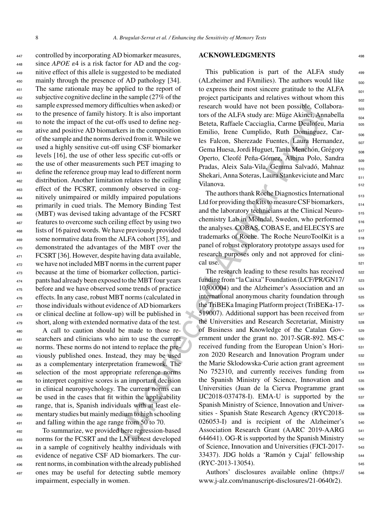controlled by incorporating AD biomarker measures, since *APOE*  $\varepsilon$ 4 is a risk factor for AD and the cog- nitive effect of this allele is suggested to be mediated 450 mainly through the presence of AD pathology [34]. The same rationale may be applied to the report of subjective cognitive decline in the sample (27% of the sample expressed memory difficulties when asked) or to the presence of family history. It is also important to note the impact of the cut-offs used to define neg- ative and positive AD biomarkers in the composition of the sample and the norms derived from it. While we used a highly sensitive cut-off using CSF biomarker levels [16], the use of other less specific cut-offs or the use of other measurements such PET imaging to define the reference group may lead to different norm distribution. Another limitation relates to the ceiling effect of the FCSRT, commonly observed in cog- nitively unimpaired or mildly impaired populations primarily in cued trials. The Memory Binding Test (MBT) was devised taking advantage of the FCSRT features to overcome such ceiling effect by using two lists of 16 paired words. We have previously provided some normative data from the ALFA cohort [35], and demonstrated the advantages of the MBT over the FCSRT [36]. However, despite having data available, we have not included MBT norms in the current paper because at the time of biomarker collection, partici- pants had already been exposed to the MBT four years 475 before and we have observed some trends of practice effects. In any case, robust MBT norms (calculated in <sup>477</sup> those individuals without evidence of AD biomarkers or clinical decline at follow-up) will be published in short, along with extended normative data of the test.

 A call to caution should be made to those re- searchers and clinicians who aim to use the current norms. These norms do not intend to replace the pre- viously published ones. Instead, they may be used as a complementary interpretation framework. The selection of the most appropriate reference norms to interpret cognitive scores is an important decision in clinical neuropsychology. The current norms can be used in the cases that fit within the applicability range, that is, Spanish individuals with at least ele- mentary studies but mainly medium to high schooling and falling within the age range from 50 to 70.

 To summarize, we provided here regression-based norms for the FCSRT and the LM subtest developed in a sample of cognitively healthy individuals with evidence of negative CSF AD biomarkers. The cur- rent norms, in combination with the already published ones may be useful for detecting subtle memory impairment, especially in women.

### **ACKNOWLEDGMENTS** <sup>498</sup>

This publication is part of the ALFA study  $499$ (ALzheimer and FAmilies). The authors would like  $_{500}$ to express their most sincere gratitude to the ALFA  $_{501}$ project participants and relatives without whom this  $\frac{502}{502}$ research would have not been possible. Collaborators of the ALFA study are: Müge Akinci, Annabella  $\frac{504}{504}$ Beteta, Raffaele Cacciaglia, Carme Deulofeu, Maria 505 Emilio, Irene Cumplido, Ruth Dominguez, Carles Falcon, Sherezade Fuentes, Laura Hernandez, <sub>507</sub> Gema Huesa, Jordi Huguet, Tania Menchón, Grégory <sub>508</sub> Operto, Cleofé Peña-Gómez, Albina Polo, Sandra <sub>509</sub> Pradas, Aleix Sala-Vila, Gemma Salvadó, Mahnaz 510 Shekari, Anna Soteras, Laura Stankeviciute and Marc <sub>511</sub> Vilanova. 512

The authors thank Roche Diagnostics International  $\frac{513}{513}$ Ltd for providing the kits to measure CSF biomarkers,  $\frac{514}{514}$ and the laboratory technicians at the Clinical Neuro- $_{515}$ chemistry Lab in Mölndal, Sweden, who performed  $\frac{1}{516}$ the analyses. COBAS, COBAS E, and ELECSYS are  $\frac{517}{217}$ trademarks of Roche. The Roche NeuroToolKit is a 518 panel of robust exploratory prototype assays used for research purposes only and not approved for clinical use.  $\blacksquare$ 

It<br>culties when asked or research would have not been possible, Col<br>
rect, It is also important<br>tors of the ALFA study are: Migge Akinci, An<br>
ory. It is also important<br>tors of the ALFA study are: Migge Akinci, An<br>
define e The research leading to these results has received <sub>522</sub> funding from "la Caixa" Foundation (LCF/PR/GN17/ 523 10300004) and the Alzheimer's Association and an <sub>524</sub> international anonymous charity foundation through  $525$ the TriBEKa Imaging Platform project (TriBEKa-17- 526 519007). Additional support has been received from <sub>527</sub> the Universities and Research Secretariat, Ministry 528 of Business and Knowledge of the Catalan Gov- <sup>529</sup> ernment under the grant no. 2017-SGR-892. MS-C 530 received funding from the European Union's Horizon 2020 Research and Innovation Program under 532 the Marie Sklodowska-Curie action grant agreement 533 No 752310, and currently receives funding from 534 the Spanish Ministry of Science, Innovation and 535 Universities (Juan de la Cierva Programme grant 536 IJC2018-037478-I). EMA-U is supported by the  $537$ Spanish Ministry of Science, Innovation and Univer-<br>
<sub>538</sub> sities - Spanish State Research Agency (RYC2018- 539 026053-I) and is recipient of the Alzheimer's 540 Association Research Grant (AARC 2019-AARG 541 644641). OG-R is supported by the Spanish Ministry  $_{542}$ of Science, Innovation and Universities (FJCI-2017- <sup>543</sup> 33437). JDG holds a 'Ramón y Cajal' fellowship 544  $(RYC-2013-13054)$ .

> Authors' disclosures available online [\(https://](https://www.j-alz.com/manuscript-disclosures/21-0640r2) 546 www.j-alz.com/manuscript-disclosures/21-0640r2).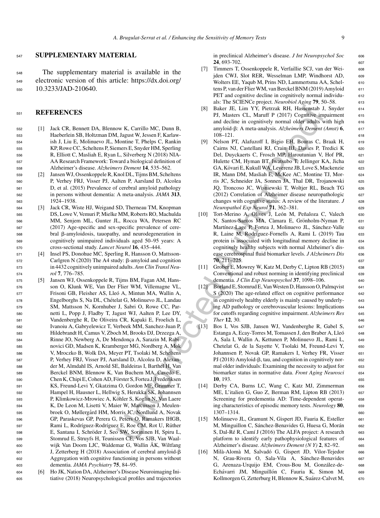# <sup>547</sup> **SUPPLEMENTARY MATERIAL**

<sup>548</sup> The supplementary material is available in the <sup>549</sup> electronic version of this article: [https://dx.doi.org/](https://dx.doi.org/10.3233/JAD-210640) <sup>550</sup> 10.3233/JAD-210640.

# <sup>551</sup> **REFERENCES**

- <sup>552</sup> [1] Jack CR, Bennett DA, Blennow K, Carrillo MC, Dunn B, <sup>553</sup> Haeberlein SB, Holtzman DM, Jagust W, Jessen F, Karlaw-<sup>554</sup> ish J, Liu E, Molinuevo JL, Montine T, Phelps C, Rankin <sup>555</sup> KP, Rowe CC, Scheltens P, Siemers E, Snyder HM, Sperling <sup>556</sup> R, Elliott C, Masliah E, Ryan L, Silverberg N (2018) NIA-<sup>557</sup> AA Research Framework: Toward a biological definition of <sup>558</sup> Alzheimer's disease. *Alzheimers Dement* **14**, 535–562.
- <sup>559</sup> [2] Jansen WJ, Ossenkoppele R, Knol DL, Tijms BM, Scheltens <sup>560</sup> P, Verhey FRJ, Visser PJ, Aalten P, Aarsland D, Alcolea <sup>561</sup> D, et al. (2015) Prevalence of cerebral amyloid pathology <sup>562</sup> in persons without dementia: A meta-analysis. *JAMA* **313**, <sup>563</sup> 1924–1938.
- <sup>564</sup> [3] Jack CR, Wiste HJ, Weigand SD, Therneau TM, Knopman <sup>565</sup> DS, Lowe V, Vemuri P, Mielke MM, Roberts RO, Machulda <sup>566</sup> MM, Senjem ML, Gunter JL, Rocca WA, Petersen RC <sup>567</sup> (2017) Age-specific and sex-specific prevalence of cere- $568$  bral β-amyloidosis, tauopathy, and neurodegeneration in <sup>569</sup> cognitively unimpaired individuals aged 50–95 years: A <sup>570</sup> cross-sectional study. *Lancet Neurol* **16**, 435–444.
- <sup>571</sup> [4] Insel PS, Donohue MC, Sperling R, Hansson O, Mattsson- $572$  Carlgren N (2020) The A4 study:  $\beta$ -amyloid and cognition <sup>573</sup> in 4432 cognitively unimpaired adults. *Ann Clin Transl Neu-*<sup>574</sup> *rol* **7**, 776–785.
- (8) Back HE, Limit V, Pietrzach RH, Limit V, Pietrzach RH, Limit V, Pietrzach RH, Limiten and dechining commission and dechining the measure of the measure of the measure of the measure of the measure of the measure of th <sup>575</sup> [5] Jansen WJ, Ossenkoppele R, Tijms BM, Fagan AM, Hans-<sup>576</sup> son O, Klunk WE, Van Der Flier WM, Villemagne VL, <sup>577</sup> Frisoni GB, Fleisher AS, Lleo A, Mintun MA, Wallin A, ´ <sup>578</sup> Engelborghs S, Na DL, Chetelat G, Molinuevo JL, Landau ´ <sup>579</sup> SM, Mattsson N, Kornhuber J, Sabri O, Rowe CC, Par-<sup>580</sup> netti L, Popp J, Fladby T, Jagust WJ, Aalten P, Lee DY, <sup>581</sup> Vandenberghe R, De Oliveira CR, Kapaki E, Froelich L, <sup>582</sup> Ivanoiu A, Gabryelewicz T, Verbeek MM, Sanchez-Juan P, <sup>583</sup> Hildebrandt H, Camus V, Zboch M, Brooks DJ, Drzezga A, 584 Rinne JO, Newberg A, De Mendonca A, Sarazin M, Rabi-<sup>585</sup> novici GD, Madsen K, Kramberger MG, Nordberg A, Mok <sup>586</sup> V, Mroczko B, Wolk DA, Meyer PT, Tsolaki M, Scheltens <sup>587</sup> P, Verhey FRJ, Visser PJ, Aarsland D, Alcolea D, Alexan-<sup>588</sup> der M, Almdahl IS, Arnold SE, Baldeiras I, Barthel H, Van <sup>589</sup> Berckel BNM, Blennow K, Van Buchem MA, Cavedo E, <sup>590</sup> Chen K, Chipi E, Cohen AD, Forster S, Fortea J, Frederiksen ¨ <sup>591</sup> KS, Freund-Levi Y, Gkatzima O, Gordon MF, Grimmer T, <sup>592</sup> Hampel H, Hausner L, Hellwig S, Herukka SK, Johannsen 593 P, Klimkowicz-Mrowiec A, Köhler S, Koglin N, Van Laere <sup>594</sup> K, De Leon M, Lisetti V, Maier W, Marcusson J, Meulen-595 broek O, Møllergård HM, Morris JC, Nordlund A, Novak <sup>596</sup> GP, Paraskevas GP, Perera G, Peters O, Ramakers IHGB, 597 Rami L, Rodríguez-Rodríguez E, Roe CM, Rot U, Rüther 598 E, Santana I, Schröder J, Seo SW, Sorininen H, Spiru L, <sup>599</sup> Stomrud E, Struyfs H, Teunissen CE, Vos SJB, Van Waal-600 wijk Van Doorn LJC, Waldemar G, Wallin ÅK, Wiltfang 601 J, Zetterberg H (2018) Association of cerebral amyloid-β <sup>602</sup> Aggregation with cognitive functioning in persons without <sup>603</sup> dementia. *JAMA Psychiatry* **75**, 84–95.
- <sup>604</sup> [6] Ho JK, Nation DA, Alzheimer's Disease Neuroimaging Ini-<sup>605</sup> tiative (2018) Neuropsychological profiles and trajectories

in preclinical Alzheimer's disease. *J Int Neuropsychol Soc* 606 **24**, 693-702. 607

- [7] Timmers T, Ossenkoppele R, Verfaillie SCJ, van der Wei- <sup>608</sup> jden CWJ, Slot RER, Wesselman LMP, Windhorst AD, 609 Wolters EE, Yaqub M, Prins ND, Lammertsma AA, Schel- 610 tens P, van der Flier WM, van Berckel BNM (2019) Amyloid 611 PET and cognitive decline in cognitively normal individu<sup>612</sup> als: The SCIENCe project. *Neurobiol Aging* **79**, 50–58. <sup>613</sup>
- [8] Baker JE, Lim YY, Pietrzak RH, Hassenstab J, Snyder 614 PJ, Masters CL, Maruff P (2017) Cognitive impairment 615 and decline in cognitively normal older adults with high 616 amyloid- $\beta$ : A meta-analysis. *Alzheimers Dement (Amst)* **6**, 617 108–121. <sup>618</sup>
- [9] Nelson PT, Alafuzoff I, Bigio EH, Bouras C, Braak H, 619 Cairns NJ, Castellani RJ, Crain BJ, Davies P, Tredici K 620 Del, Duyckaerts C, Frosch MP, Haroutunian V, Hof PR, 621 Hulette CM, Hyman BT, Iwatsubo T, Jellinger KA, Jicha 622 GA, Kövari E, Kukull WA, Leverenz JB, Love S, Mackenzie 623 IR, Mann DM, Masliah E, McKee AC, Montine TJ, Mor- <sup>624</sup> ris JC, Schneider JA, Sonnen JA, Thal DR, Trojanowski <sup>625</sup> JQ, Troncoso JC, Wisniewski T, Woltjer RL, Beach TG 626 (2012) Correlation of Alzheimer disease neuropathologic  $627$ changes with cognitive status: A review of the literature. *J* 628 *Neuropathol Exp Neurol* **71**, 362–381. <sup>629</sup>
- [10] Tort-Merino A, Olives J, León M, Peñaloza C, Valech 630 N, Santos-Santos MA, Càmara E, Grönholm-Nyman P, 631 Martínez-Lage P, Fortea J, Molinuevo JL, Sánchez-Valle 632 R, Laine M, Rodríguez-Fornells A, Rami L (2019) Tau 633 protein is associated with longitudinal memory decline in 634 cognitively healthy subjects with normal Alzheimer's dis- <sup>635</sup> ease cerebrospinal fluid biomarker levels. *J Alzheimers Dis* 636 **70**, 211–225. <sup>637</sup>
- [11] Grober E, Mowrey W, Katz M, Derby C, Lipton RB (2015) 638 Conventional and robust norming in identifying preclinical 639 dementia. *J Clin Exp Neuropsychol* **37**, 1098–106. <sup>640</sup>
- [12] Borland E, Stomrud E, Van Westen D, Hansson O, Palmqvist 641 S (2020) The age-related effect on cognitive performance 642 in cognitively healthy elderly is mainly caused by underly- <sup>643</sup> ing AD pathology or cerebrovascular lesions: Implications 644 for cutoffs regarding cognitive impairment. *Alzheimers Res* <sup>645</sup> *Ther* **12**, 30. <sup>646</sup>
- [13] Bos I, Vos SJB, Jansen WJ, Vandenberghe R, Gabel S, <sup>647</sup> Estanga A, Ecay-Torres M, Tomassen J, den Braber A, Lleó 648 A, Sala I, Wallin A, Kettunen P, Molinuevo JL, Rami L, <sup>649</sup> Chetelat G, de la Sayette V, Tsolaki M, Freund-Levi Y, 650 Johannsen P, Novak GP, Ramakers I, Verhey FR, Visser 651  $PI (2018)$  Amyloid- $\beta$ , tau, and cognition in cognitively normal older individuals: Examining the necessity to adjust for 653 biomarker status in normative data. *Front Aging Neurosci* <sup>654</sup> **10**, 193. <sup>655</sup>
- [14] Derby CA, Burns LC, Wang C, Katz MJ, Zimmerman 656 ME, L'italien G, Guo Z, Berman RM, Lipton RB (2013) <sup>657</sup> Screening for predementia AD: Time-dependent operat-<br>658 ing characteristics of episodic memory tests. *Neurology* **80**, <sup>659</sup> 1307–1314. 660
- [15] Molinuevo JL, Gramunt N, Gispert JD, Fauria K, Esteller 661 M, Minguillon C, Sánchez-Benavides G, Huesa G, Morán 662 S, Dal-Ré R, Camí J (2016) The ALFA project: A research 663 platform to identify early pathophysiological features of 664 Alzheimer's disease. *Alzheimers Dement (N Y)* **2**, 82–92. <sup>665</sup>
- [16] Milà-Alomà M, Salvadó G, Gispert JD, Vilor-Tejedor 666 N, Grau-Rivera O, Sala-Vila A, Sánchez-Benavides 667 G, Arenaza-Urquijo EM, Crous-Bou M, González-de- 668 Echávarri JM, Minguillón C, Fauria K, Simon M, 669 Kollmorgen G, Zetterburg H, Blennow K, Suárez-Calvet M, 670